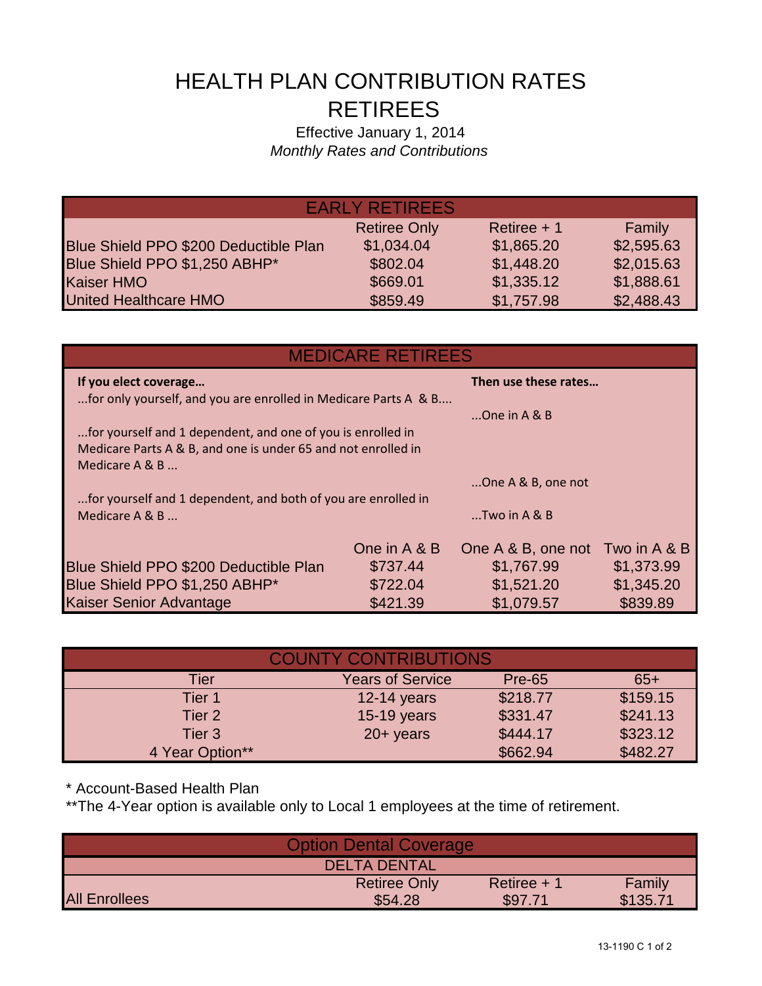## HEALTH PLAN CONTRIBUTION RATES RETIREES

## Effective January 1, 2014 *Monthly Rates and Contributions*

| <b>EARLY RETIREES</b>                 |                     |              |            |  |  |
|---------------------------------------|---------------------|--------------|------------|--|--|
|                                       | <b>Retiree Only</b> | Retiree $+1$ | Family     |  |  |
| Blue Shield PPO \$200 Deductible Plan | \$1,034.04          | \$1,865.20   | \$2,595.63 |  |  |
| Blue Shield PPO \$1,250 ABHP*         | \$802.04            | \$1,448.20   | \$2,015.63 |  |  |
| <b>Kaiser HMO</b>                     | \$669.01            | \$1,335.12   | \$1,888.61 |  |  |
| United Healthcare HMO                 | \$859.49            | \$1,757.98   | \$2,488.43 |  |  |

| <b>MEDICARE RETIREES</b>                                        |              |                      |              |  |  |
|-----------------------------------------------------------------|--------------|----------------------|--------------|--|--|
| If you elect coverage                                           |              | Then use these rates |              |  |  |
| for only yourself, and you are enrolled in Medicare Parts A & B |              |                      |              |  |  |
|                                                                 |              | $$ One in A & B      |              |  |  |
| for yourself and 1 dependent, and one of you is enrolled in     |              |                      |              |  |  |
| Medicare Parts A & B, and one is under 65 and not enrolled in   |              |                      |              |  |  |
| Medicare A & B                                                  |              |                      |              |  |  |
|                                                                 |              | One A & B, one not   |              |  |  |
| for yourself and 1 dependent, and both of you are enrolled in   |              |                      |              |  |  |
| Medicare A & B                                                  |              | Two in $A \& B$      |              |  |  |
|                                                                 |              |                      |              |  |  |
|                                                                 | One in A & B | One A & B, one not   | Two in A & B |  |  |
| Blue Shield PPO \$200 Deductible Plan                           | \$737.44     | \$1,767.99           | \$1,373.99   |  |  |
| Blue Shield PPO \$1,250 ABHP*                                   | \$722.04     | \$1,521.20           | \$1,345.20   |  |  |
| Kaiser Senior Advantage                                         | \$421.39     | \$1,079.57           | \$839.89     |  |  |

| <b>COUNTY CONTRIBUTIONS</b> |                         |               |          |  |
|-----------------------------|-------------------------|---------------|----------|--|
| Tier                        | <b>Years of Service</b> | <b>Pre-65</b> | $65+$    |  |
| Tier 1                      | $12-14$ years           | \$218.77      | \$159.15 |  |
| Tier 2                      | $15-19$ years           | \$331.47      | \$241.13 |  |
| Tier 3                      | $20 + \gamma$ ears      | \$444.17      | \$323.12 |  |
| 4 Year Option**             |                         | \$662.94      | \$482.27 |  |

\* Account-Based Health Plan

\*\* The 4-Year option is available only to Local 1 employees at the time of retirement.

| <b>Option Dental Coverage</b> |                     |              |          |  |
|-------------------------------|---------------------|--------------|----------|--|
|                               | <b>DELTA DENTAL</b> |              |          |  |
|                               | <b>Retiree Only</b> | Retiree $+1$ | Family   |  |
| <b>All Enrollees</b>          | \$54.28             | \$97.71      | \$135.71 |  |